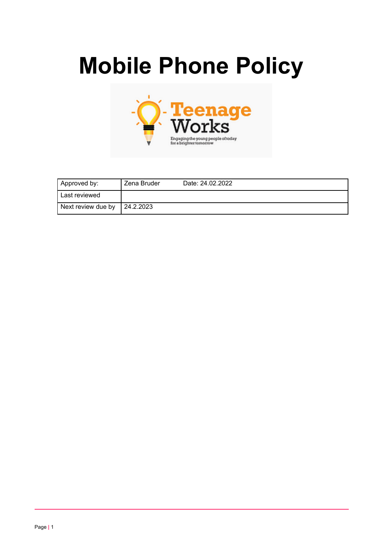# **Mobile Phone Policy**



| Approved by:       | Zena Bruder | Date: 24.02.2022 |
|--------------------|-------------|------------------|
| Last reviewed      |             |                  |
| Next review due by | 24.2.2023   |                  |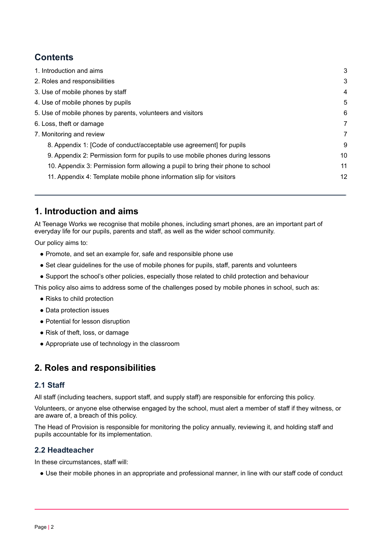# **Contents**

| 1. Introduction and aims                                                        | 3  |
|---------------------------------------------------------------------------------|----|
| 2. Roles and responsibilities                                                   | 3  |
| 3. Use of mobile phones by staff                                                | 4  |
| 4. Use of mobile phones by pupils                                               | 5  |
| 5. Use of mobile phones by parents, volunteers and visitors                     | 6  |
| 6. Loss, theft or damage                                                        | 7  |
| 7. Monitoring and review                                                        | 7  |
| 8. Appendix 1: [Code of conduct/acceptable use agreement] for pupils            | 9  |
| 9. Appendix 2: Permission form for pupils to use mobile phones during lessons   | 10 |
| 10. Appendix 3: Permission form allowing a pupil to bring their phone to school | 11 |
| 11. Appendix 4: Template mobile phone information slip for visitors             | 12 |
|                                                                                 |    |

# <span id="page-1-0"></span>**1. Introduction and aims**

At Teenage Works we recognise that mobile phones, including smart phones, are an important part of everyday life for our pupils, parents and staff, as well as the wider school community.

Our policy aims to:

- Promote, and set an example for, safe and responsible phone use
- Set clear quidelines for the use of mobile phones for pupils, staff, parents and volunteers
- Support the school's other policies, especially those related to child protection and behaviour

This policy also aims to address some of the challenges posed by mobile phones in school, such as:

- Risks to child protection
- Data protection issues
- Potential for lesson disruption
- Risk of theft, loss, or damage
- Appropriate use of technology in the classroom

# <span id="page-1-1"></span>**2. Roles and responsibilities**

## **2.1 Staff**

All staff (including teachers, support staff, and supply staff) are responsible for enforcing this policy.

Volunteers, or anyone else otherwise engaged by the school, must alert a member of staff if they witness, or are aware of, a breach of this policy.

The Head of Provision is responsible for monitoring the policy annually, reviewing it, and holding staff and pupils accountable for its implementation.

## **2.2 Headteacher**

In these circumstances, staff will:

● Use their mobile phones in an appropriate and professional manner, in line with our staff code of conduct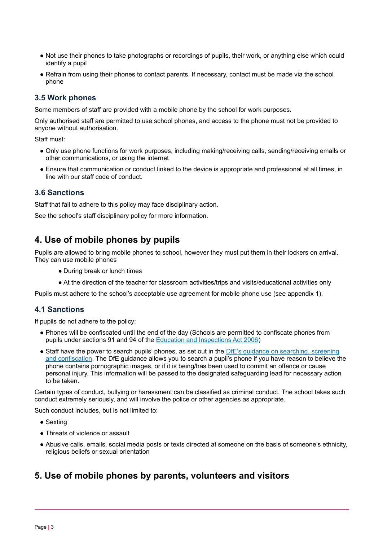- Not use their phones to take photographs or recordings of pupils, their work, or anything else which could identify a pupil
- Refrain from using their phones to contact parents. If necessary, contact must be made via the school phone

## **3.5 Work phones**

Some members of staff are provided with a mobile phone by the school for work purposes.

Only authorised staff are permitted to use school phones, and access to the phone must not be provided to anyone without authorisation.

Staff must:

- Only use phone functions for work purposes, including making/receiving calls, sending/receiving emails or other communications, or using the internet
- Ensure that communication or conduct linked to the device is appropriate and professional at all times, in line with our staff code of conduct.

#### **3.6 Sanctions**

Staff that fail to adhere to this policy may face disciplinary action.

<span id="page-2-0"></span>See the school's staff disciplinary policy for more information.

# **4. Use of mobile phones by pupils**

Pupils are allowed to bring mobile phones to school, however they must put them in their lockers on arrival. They can use mobile phones

- During break or lunch times
- At the direction of the teacher for classroom activities/trips and visits/educational activities only

Pupils must adhere to the school's acceptable use agreement for mobile phone use (see appendix 1).

#### **4.1 Sanctions**

If pupils do not adhere to the policy:

- Phones will be confiscated until the end of the day (Schools are permitted to confiscate phones from pupils under sections 91 and 94 of the Education and [Inspections](https://www.legislation.gov.uk/ukpga/2006/40/section/94) Act 2006)
- Staff have the power to search pupils' phones, as set out in the DfE's quidance on [searching,](https://www.gov.uk/government/publications/searching-screening-and-confiscation) screening and [confiscation](https://www.gov.uk/government/publications/searching-screening-and-confiscation). The DfE guidance allows you to search a pupil's phone if you have reason to believe the phone contains pornographic images, or if it is being/has been used to commit an offence or cause personal injury. This information will be passed to the designated safeguarding lead for necessary action to be taken.

Certain types of conduct, bullying or harassment can be classified as criminal conduct. The school takes such conduct extremely seriously, and will involve the police or other agencies as appropriate.

Such conduct includes, but is not limited to:

- Sexting
- Threats of violence or assault
- Abusive calls, emails, social media posts or texts directed at someone on the basis of someone's ethnicity, religious beliefs or sexual orientation

# <span id="page-2-1"></span>**5. Use of mobile phones by parents, volunteers and visitors**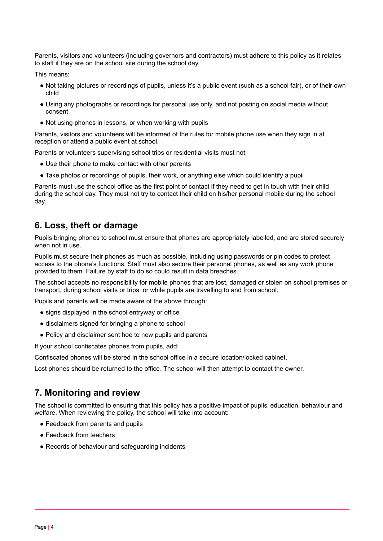Parents, visitors and volunteers (including governors and contractors) must adhere to this policy as it relates to staff if they are on the school site during the school day.

This means:

- Not taking pictures or recordings of pupils, unless it's a public event (such as a school fair), or of their own child
- Using any photographs or recordings for personal use only, and not posting on social media without consent
- Not using phones in lessons, or when working with pupils

Parents, visitors and volunteers will be informed of the rules for mobile phone use when they sign in at reception or attend a public event at school.

Parents or volunteers supervising school trips or residential visits must not:

- Use their phone to make contact with other parents
- Take photos or recordings of pupils, their work, or anything else which could identify a pupil

Parents must use the school office as the first point of contact if they need to get in touch with their child during the school day. They must not try to contact their child on his/her personal mobile during the school day.

# <span id="page-3-0"></span>**6. Loss, theft or damage**

Pupils bringing phones to school must ensure that phones are appropriately labelled, and are stored securely when not in use.

Pupils must secure their phones as much as possible, including using passwords or pin codes to protect access to the phone's functions. Staff must also secure their personal phones, as well as any work phone provided to them. Failure by staff to do so could result in data breaches.

The school accepts no responsibility for mobile phones that are lost, damaged or stolen on school premises or transport, during school visits or trips, or while pupils are travelling to and from school.

Pupils and parents will be made aware of the above through:

- signs displayed in the school entryway or office
- disclaimers signed for bringing a phone to school
- Policy and disclaimer sent hoe to new pupils and parents

If your school confiscates phones from pupils, add:

Confiscated phones will be stored in the school office in a secure location/locked cabinet.

<span id="page-3-1"></span>Lost phones should be returned to the office. The school will then attempt to contact the owner.

# **7. Monitoring and review**

The school is committed to ensuring that this policy has a positive impact of pupils' education, behaviour and welfare. When reviewing the policy, the school will take into account:

- Feedback from parents and pupils
- Feedback from teachers
- Records of behaviour and safeguarding incidents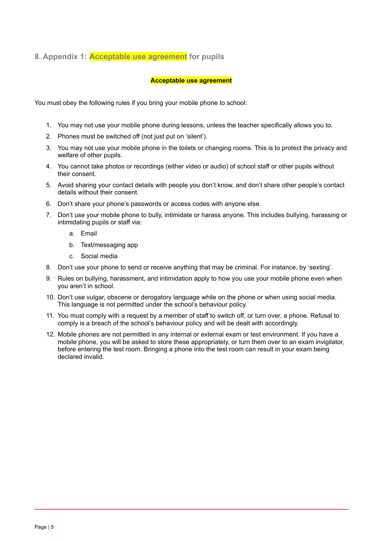# <span id="page-4-0"></span>**8. Appendix 1: Acceptable use agreement for pupils**

#### **Acceptable use agreement**

You must obey the following rules if you bring your mobile phone to school:

- 1. You may not use your mobile phone during lessons, unless the teacher specifically allows you to.
- 2. Phones must be switched off (not just put on 'silent').
- 3. You may not use your mobile phone in the toilets or changing rooms. This is to protect the privacy and welfare of other pupils.
- 4. You cannot take photos or recordings (either video or audio) of school staff or other pupils without their consent.
- 5. Avoid sharing your contact details with people you don't know, and don't share other people's contact details without their consent.
- 6. Don't share your phone's passwords or access codes with anyone else.
- 7. Don't use your mobile phone to bully, intimidate or harass anyone. This includes bullying, harassing or intimidating pupils or staff via:
	- a. Email
	- b. Text/messaging app
	- c. Social media
- 8. Don't use your phone to send or receive anything that may be criminal. For instance, by 'sexting'.
- 9. Rules on bullying, harassment, and intimidation apply to how you use your mobile phone even when you aren't in school.
- 10. Don't use vulgar, obscene or derogatory language while on the phone or when using social media. This language is not permitted under the school's behaviour policy.
- 11. You must comply with a request by a member of staff to switch off, or turn over, a phone. Refusal to comply is a breach of the school's behaviour policy and will be dealt with accordingly.
- <span id="page-4-1"></span>12. Mobile phones are not permitted in any internal or external exam or test environment. If you have a mobile phone, you will be asked to store these appropriately, or turn them over to an exam invigilator, before entering the test room. Bringing a phone into the test room can result in your exam being declared invalid.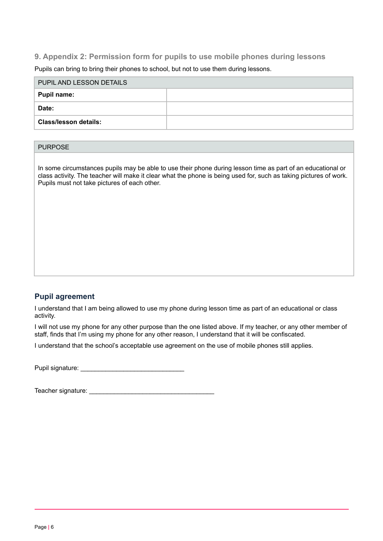# **9. Appendix 2: Permission form for pupils to use mobile phones during lessons**

Pupils can bring to bring their phones to school, but not to use them during lessons.

| PUPIL AND LESSON DETAILS     |  |  |
|------------------------------|--|--|
| Pupil name:                  |  |  |
| Date:                        |  |  |
| <b>Class/lesson details:</b> |  |  |

## PURPOSE

In some circumstances pupils may be able to use their phone during lesson time as part of an educational or class activity. The teacher will make it clear what the phone is being used for, such as taking pictures of work. Pupils must not take pictures of each other.

## **Pupil agreement**

I understand that I am being allowed to use my phone during lesson time as part of an educational or class activity.

I will not use my phone for any other purpose than the one listed above. If my teacher, or any other member of staff, finds that I'm using my phone for any other reason, I understand that it will be confiscated.

I understand that the school's acceptable use agreement on the use of mobile phones still applies.

Pupil signature: \_\_\_\_\_\_\_\_\_\_\_\_\_\_\_\_\_\_\_\_\_\_\_\_\_\_\_\_\_

<span id="page-5-0"></span>Teacher signature: \_\_\_\_\_\_\_\_\_\_\_\_\_\_\_\_\_\_\_\_\_\_\_\_\_\_\_\_\_\_\_\_\_\_\_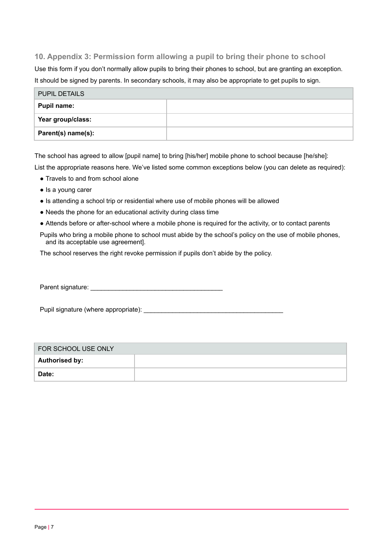# **10. Appendix 3: Permission form allowing a pupil to bring their phone to school**

Use this form if you don't normally allow pupils to bring their phones to school, but are granting an exception. It should be signed by parents. In secondary schools, it may also be appropriate to get pupils to sign.

| <b>PUPIL DETAILS</b> |  |  |
|----------------------|--|--|
| Pupil name:          |  |  |
| Year group/class:    |  |  |
| Parent(s) name(s):   |  |  |

The school has agreed to allow [pupil name] to bring [his/her] mobile phone to school because [he/she]:

List the appropriate reasons here. We've listed some common exceptions below (you can delete as required):

- Travels to and from school alone
- Is a young carer
- Is attending a school trip or residential where use of mobile phones will be allowed
- Needs the phone for an educational activity during class time
- Attends before or after-school where a mobile phone is required for the activity, or to contact parents
- Pupils who bring a mobile phone to school must abide by the school's policy on the use of mobile phones, and its acceptable use agreement].

The school reserves the right revoke permission if pupils don't abide by the policy.

Parent signature:

Pupil signature (where appropriate):

| FOR SCHOOL USE ONLY   |  |  |
|-----------------------|--|--|
| <b>Authorised by:</b> |  |  |
| Date:                 |  |  |